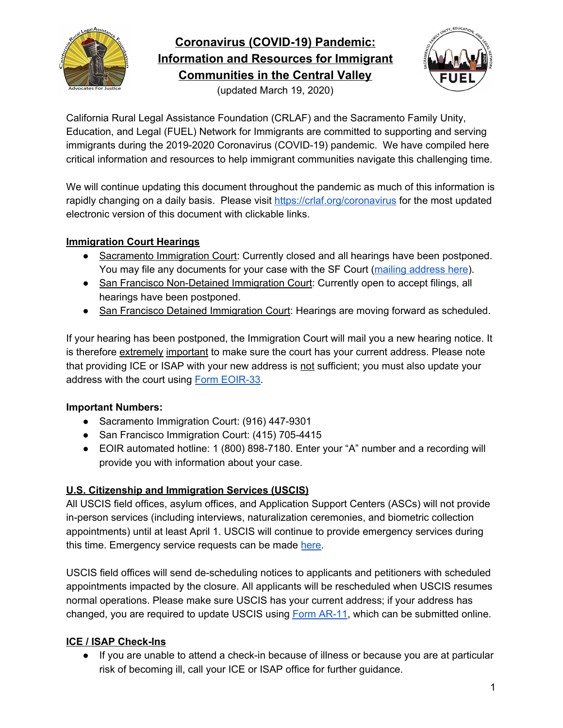

# **Coronavirus (COVID-19) Pandemic: Information and Resources for Immigrant Communities in the Central Valley**





California Rural Legal Assistance Foundation (CRLAF) and the Sacramento Family Unity, Education, and Legal (FUEL) Network for Immigrants are committed to supporting and serving immigrants during the 2019-2020 Coronavirus (COVID-19) pandemic. We have compiled here critical information and resources to help immigrant communities navigate this challenging time.

We will continue updating this document throughout the pandemic as much of this information is rapidly changing on a daily basis. Please visit <https://crlaf.org/coronavirus> for the most updated electronic version of this document with clickable links.

# **Immigration Court Hearings**

- Sacramento Immigration Court: Currently closed and all hearings have been postponed. You may file any documents for your case with the SF Court (mailing [address](https://www.justice.gov/eoir/san-francisco-immigration-court) here).
- San Francisco Non-Detained Immigration Court: Currently open to accept filings, all hearings have been postponed.
- San Francisco Detained Immigration Court: Hearings are moving forward as scheduled.

If your hearing has been postponed, the Immigration Court will mail you a new hearing notice. It is therefore extremely important to make sure the court has your current address. Please note that providing ICE or ISAP with your new address is not sufficient; you must also update your address with the court using Form [EOIR-33.](https://www.justice.gov/eoir/file/639921/download)

## **Important Numbers:**

- Sacramento Immigration Court: (916) 447-9301
- San Francisco Immigration Court: (415) 705-4415
- EOIR automated hotline: 1 (800) 898-7180. Enter your "A" number and a recording will provide you with information about your case.

# **U.S. Citizenship and Immigration Services (USCIS)**

All USCIS field offices, asylum offices, and Application Support Centers (ASCs) will not provide in-person services (including interviews, naturalization ceremonies, and biometric collection appointments) until at least April 1. USCIS will continue to provide emergency services during this time. Emergency service requests can be made [here.](https://www.uscis.gov/contactcenter)

USCIS field offices will send de-scheduling notices to applicants and petitioners with scheduled appointments impacted by the closure. All applicants will be rescheduled when USCIS resumes normal operations. Please make sure USCIS has your current address; if your address has changed, you are required to update USCIS using Form [AR-11](https://www.uscis.gov/ar-11), which can be submitted online.

# **ICE / ISAP Check-Ins**

● If you are unable to attend a check-in because of illness or because you are at particular risk of becoming ill, call your ICE or ISAP office for further guidance.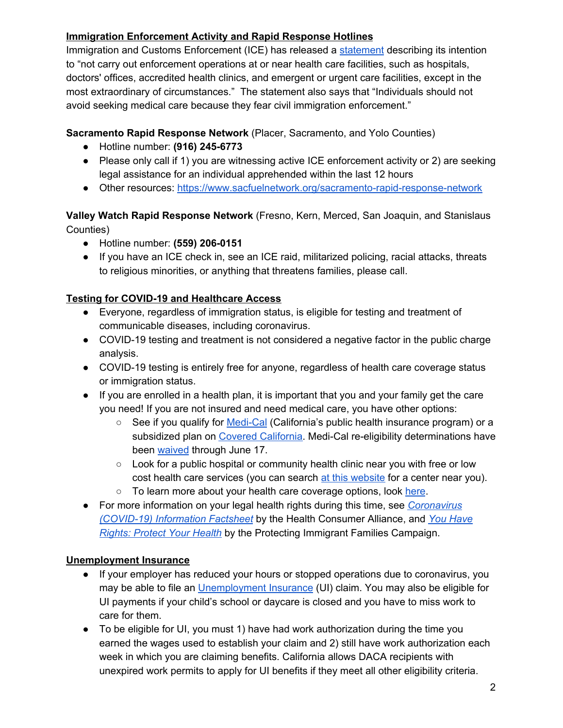## **Immigration Enforcement Activity and Rapid Response Hotlines**

Immigration and Customs Enforcement (ICE) has released a [statement](https://www.ice.gov/news/releases/updated-ice-statement-covid-19) describing its intention to "not carry out enforcement operations at or near health care facilities, such as hospitals, doctors' offices, accredited health clinics, and emergent or urgent care facilities, except in the most extraordinary of circumstances." The statement also says that "Individuals should not avoid seeking medical care because they fear civil immigration enforcement."

#### **Sacramento Rapid Response Network** (Placer, Sacramento, and Yolo Counties)

- **●** Hotline number: **(916) 245-6773**
- Please only call if 1) you are witnessing active ICE enforcement activity or 2) are seeking legal assistance for an individual apprehended within the last 12 hours
- Other resources: <https://www.sacfuelnetwork.org/sacramento-rapid-response-network>

#### **Valley Watch Rapid Response Network** (Fresno, Kern, Merced, San Joaquin, and Stanislaus Counties)

- Hotline number: **(559) 206-0151**
- If you have an ICE check in, see an ICE raid, militarized policing, racial attacks, threats to religious minorities, or anything that threatens families, please call.

## **Testing for COVID-19 and Healthcare Access**

- Everyone, regardless of immigration status, is eligible for testing and treatment of communicable diseases, including coronavirus.
- COVID-19 testing and treatment is not considered a negative factor in the public charge analysis.
- COVID-19 testing is entirely free for anyone, regardless of health care coverage status or immigration status.
- If you are enrolled in a health plan, it is important that you and your family get the care you need! If you are not insured and need medical care, you have other options:
	- $\circ$  See if you qualify for [Medi-Cal](https://www.coveredca.com/medi-cal/) (California's public health insurance program) or a subsidized plan on Covered [California](https://www.coveredca.com/). Medi-Cal re-eligibility determinations have been [waived](https://www.gov.ca.gov/2020/03/18/governor-newsom-issues-executive-order-to-protect-ongoing-safety-net-services-for-most-vulnerable-californians-during-covid-19-outbreak/) through June 17.
	- Look for a public hospital or community health clinic near you with free or low cost health care services (you can search at this [website](https://findahealthcenter.hrsa.gov/) for a center near you).
	- To learn more about your health care coverage options, look [here.](https://www.cdph.ca.gov/Programs/CID/DCDC/CDPH%20Document%20Library/COVID-19/CoverageOptionsFactSheet3-11-20Accessible.pdf)
- For more information on your legal health rights during this time, see *[Coronavirus](https://healthconsumer.org/covid19/) [\(COVID-19\)](https://healthconsumer.org/covid19/) Information Factsheet* by the Health Consumer Alliance, and *You [Have](https://protectingimmigrantfamilies.org/wp-content/uploads/2020/02/You-Have-Rights-Protect-Your-Health-Updated-February-2020-ENGLISH.pdf) Rights: [Protect](https://protectingimmigrantfamilies.org/wp-content/uploads/2020/02/You-Have-Rights-Protect-Your-Health-Updated-February-2020-ENGLISH.pdf) Your Health* by the Protecting Immigrant Families Campaign.

#### **Unemployment Insurance**

- If your employer has reduced your hours or stopped operations due to coronavirus, you may be able to file an [Unemployment](https://www.edd.ca.gov/Unemployment/Filing_a_Claim.htm) Insurance (UI) claim. You may also be eligible for UI payments if your child's school or daycare is closed and you have to miss work to care for them.
- To be eligible for UI, you must 1) have had work authorization during the time you earned the wages used to establish your claim and 2) still have work authorization each week in which you are claiming benefits. California allows DACA recipients with unexpired work permits to apply for UI benefits if they meet all other eligibility criteria.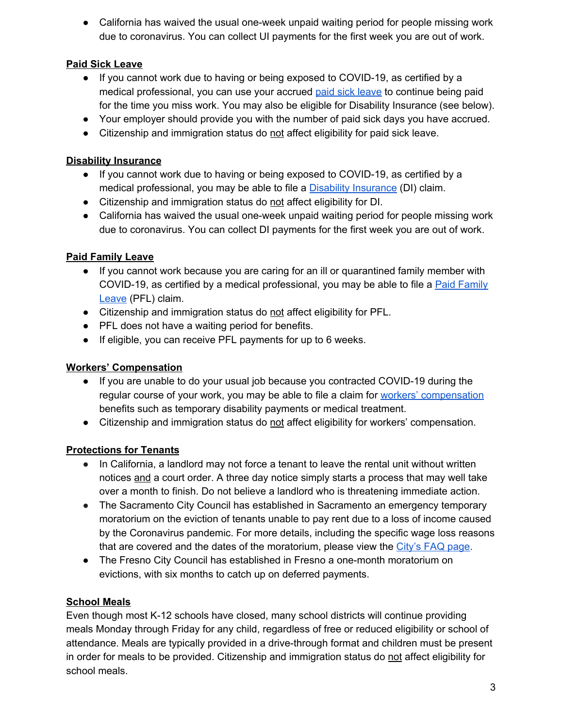• California has waived the usual one-week unpaid waiting period for people missing work due to coronavirus. You can collect UI payments for the first week you are out of work.

#### **Paid Sick Leave**

- If you cannot work due to having or being exposed to COVID-19, as certified by a medical professional, you can use your accrued paid sick [leave](https://www.dir.ca.gov/dlse/paid_sick_leave.htm) to continue being paid for the time you miss work. You may also be eligible for Disability Insurance (see below).
- Your employer should provide you with the number of paid sick days you have accrued.
- Citizenship and immigration status do not affect eligibility for paid sick leave.

#### **Disability Insurance**

- If you cannot work due to having or being exposed to COVID-19, as certified by a medical professional, you may be able to file a Disability [Insurance](https://www.edd.ca.gov/Disability/How_to_File_a_DI_Claim_in_SDI_Online.htm) (DI) claim.
- Citizenship and immigration status do not affect eligibility for DI.
- California has waived the usual one-week unpaid waiting period for people missing work due to coronavirus. You can collect DI payments for the first week you are out of work.

## **Paid Family Leave**

- If you cannot work because you are caring for an ill or quarantined family member with COVID-19, as certified by a medical professional, you may be able to file a Paid [Family](https://www.edd.ca.gov/Disability/How_to_File_a_PFL_Claim_in_SDI_Online.htm) [Leave](https://www.edd.ca.gov/Disability/How_to_File_a_PFL_Claim_in_SDI_Online.htm) (PFL) claim.
- Citizenship and immigration status do not affect eligibility for PFL.
- PFL does not have a waiting period for benefits.
- If eligible, you can receive PFL payments for up to 6 weeks.

#### **Workers' Compensation**

- If you are unable to do your usual job because you contracted COVID-19 during the regular course of your work, you may be able to file a claim for workers' [compensation](https://www.dir.ca.gov/dwc/DWCForm1.pdf) benefits such as temporary disability payments or medical treatment.
- Citizenship and immigration status do not affect eligibility for workers' compensation.

## **Protections for Tenants**

- In California, a landlord may not force a tenant to leave the rental unit without written notices and a court order. A three day notice simply starts a process that may well take over a month to finish. Do not believe a landlord who is threatening immediate action.
- The Sacramento City Council has established in Sacramento an emergency temporary moratorium on the eviction of tenants unable to pay rent due to a loss of income caused by the Coronavirus pandemic. For more details, including the specific wage loss reasons that are covered and the dates of the moratorium, please view the [City's](https://www.cityofsacramento.org/-/media/Corporate/Files/CDD/Code-Compliance/Programs/FINAL-FAQ-TEMPORARY-MORATORIUM-ON-TENANT-EVICTIONS-DUE-TO-COVID-MAR182020.pdf?la=en) FAQ page.
- The Fresno City Council has established in Fresno a one-month moratorium on evictions, with six months to catch up on deferred payments.

#### **School Meals**

Even though most K-12 schools have closed, many school districts will continue providing meals Monday through Friday for any child, regardless of free or reduced eligibility or school of attendance. Meals are typically provided in a drive-through format and children must be present in order for meals to be provided. Citizenship and immigration status do not affect eligibility for school meals.